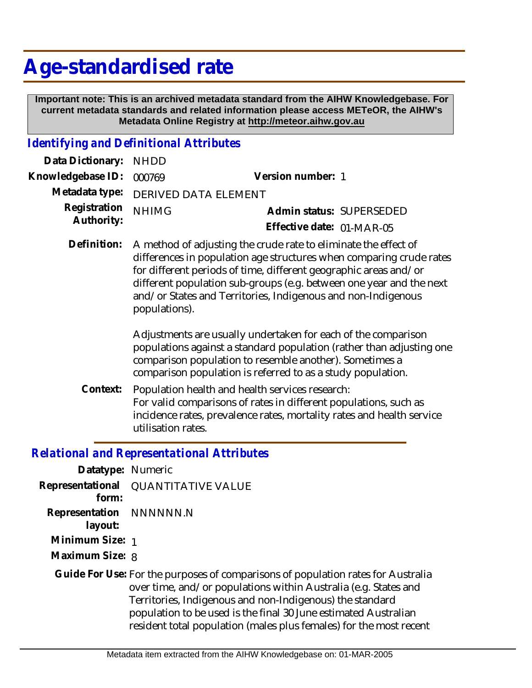## **Age-standardised rate**

 **Important note: This is an archived metadata standard from the AIHW Knowledgebase. For current metadata standards and related information please access METeOR, the AIHW's Metadata Online Registry at http://meteor.aihw.gov.au**

## *Identifying and Definitional Attributes*

| Data Dictionary: NHDD    |                                     |                           |  |
|--------------------------|-------------------------------------|---------------------------|--|
| Knowledgebase ID: 000769 |                                     | Version number: 1         |  |
|                          | Metadata type: DERIVED DATA ELEMENT |                           |  |
| Registration NHIMG       |                                     | Admin status: SUPERSEDED  |  |
| Authority:               |                                     | Effective date: 01-MAR-05 |  |

Definition: A method of adjusting the crude rate to eliminate the effect of differences in population age structures when comparing crude rates for different periods of time, different geographic areas and/or different population sub-groups (e.g. between one year and the next and/or States and Territories, Indigenous and non-Indigenous populations).

> Adjustments are usually undertaken for each of the comparison populations against a standard population (rather than adjusting one comparison population to resemble another). Sometimes a comparison population is referred to as a study population.

Population health and health services research: For valid comparisons of rates in different populations, such as incidence rates, prevalence rates, mortality rates and health service utilisation rates. **Context:**

## *Relational and Representational Attributes*

**Datatype:** Numeric **Representational** QUANTITATIVE VALUE  **form: Representation** NNNNNN.N  **layout: Minimum Size:** 1 **Maximum Size:** 8 Guide For Use: For the purposes of comparisons of population rates for Australia over time, and/or populations within Australia (e.g. States and Territories, Indigenous and non-Indigenous) the standard population to be used is the final 30 June estimated Australian resident total population (males plus females) for the most recent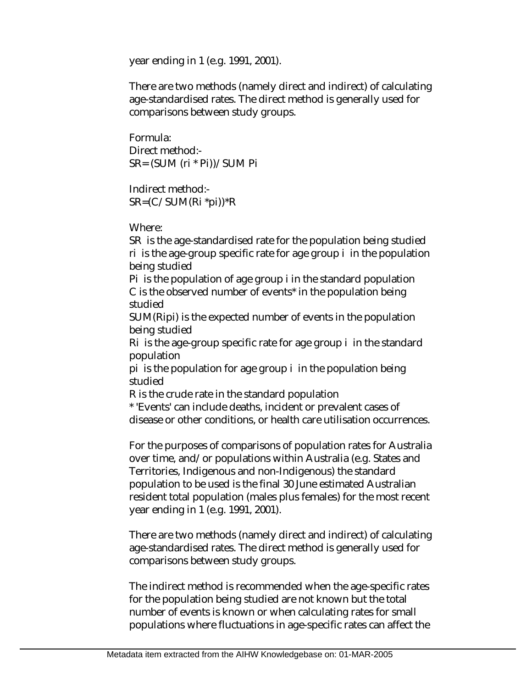year ending in 1 (e.g. 1991, 2001).

There are two methods (namely direct and indirect) of calculating age-standardised rates. The direct method is generally used for comparisons between study groups.

Formula: Direct method:- SR= (SUM (ri \* Pi))/SUM Pi

Indirect method:- SR=(C/SUM(Ri \*pi))\*R

Where:

SR is the age-standardised rate for the population being studied ri is the age-group specific rate for age group i in the population being studied

Pi is the population of age group i in the standard population C is the observed number of events\* in the population being studied

SUM(Ripi) is the expected number of events in the population being studied

Ri is the age-group specific rate for age group i in the standard population

pi is the population for age group i in the population being studied

R is the crude rate in the standard population

\* 'Events' can include deaths, incident or prevalent cases of disease or other conditions, or health care utilisation occurrences.

For the purposes of comparisons of population rates for Australia over time, and/or populations within Australia (e.g. States and Territories, Indigenous and non-Indigenous) the standard population to be used is the final 30 June estimated Australian resident total population (males plus females) for the most recent year ending in 1 (e.g. 1991, 2001).

There are two methods (namely direct and indirect) of calculating age-standardised rates. The direct method is generally used for comparisons between study groups.

The indirect method is recommended when the age-specific rates for the population being studied are not known but the total number of events is known or when calculating rates for small populations where fluctuations in age-specific rates can affect the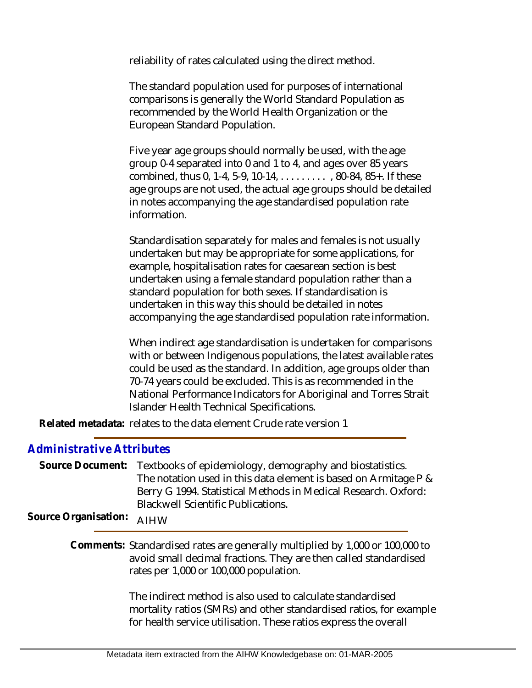reliability of rates calculated using the direct method.

The standard population used for purposes of international comparisons is generally the World Standard Population as recommended by the World Health Organization or the European Standard Population.

Five year age groups should normally be used, with the age group 0-4 separated into 0 and 1 to 4, and ages over 85 years combined, thus 0, 1-4, 5-9, 10-14, . . . . . . . . . , 80-84, 85+. If these age groups are not used, the actual age groups should be detailed in notes accompanying the age standardised population rate information.

Standardisation separately for males and females is not usually undertaken but may be appropriate for some applications, for example, hospitalisation rates for caesarean section is best undertaken using a female standard population rather than a standard population for both sexes. If standardisation is undertaken in this way this should be detailed in notes accompanying the age standardised population rate information.

When indirect age standardisation is undertaken for comparisons with or between Indigenous populations, the latest available rates could be used as the standard. In addition, age groups older than 70-74 years could be excluded. This is as recommended in the National Performance Indicators for Aboriginal and Torres Strait Islander Health Technical Specifications.

Related metadata: relates to the data element Crude rate version 1

## *Administrative Attributes*

Source Document: Textbooks of epidemiology, demography and biostatistics. The notation used in this data element is based on Armitage P & Berry G 1994. Statistical Methods in Medical Research. Oxford: Blackwell Scientific Publications.

**Source Organisation:** AIHW

Comments: Standardised rates are generally multiplied by 1,000 or 100,000 to avoid small decimal fractions. They are then called standardised rates per 1,000 or 100,000 population.

> The indirect method is also used to calculate standardised mortality ratios (SMRs) and other standardised ratios, for example for health service utilisation. These ratios express the overall